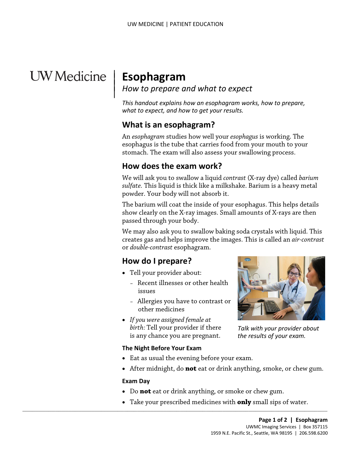## **UW** Medicine

|

# <sup>|</sup>**Esophagram** | *How to prepare and what to expect* <sup>|</sup>

*This handout explains how an esophagram works, how to prepare, what to expect, and how to get your results.* 

#### **What is an esophagram?**

 An *esophagram* studies how well your *esophagus* is working. The esophagus is the tube that carries food from your mouth to your stomach. The exam will also assess your swallowing process.

#### **How does the exam work?**

We will ask you to swallow a liquid *contrast* (X-ray dye) called *[barium](javascript:glossAry()  sulfate.* This liquid is thick like a milkshake. Barium is a heavy metal powder. Your body will not absorb it.

 show clearly on the X-ray images. Small amounts of X-rays are then The barium will coat the inside of your esophagus. This helps details passed through your body.

 creates gas and helps improve the images. This is called an *air-contrast*  We may also ask you to swallow baking soda crystals with liquid. This or *double-contrast* esophagram.

#### **How do I prepare?**

- • Tell your provider about:
	- Recent illnesses or other health issues
	- Allergies you have to contrast or other medicines
- *If you were assigned female at birth:* Tell your provider if there is any chance you are pregnant.

 $\_$  ,  $\_$  ,  $\_$  ,  $\_$  ,  $\_$  ,  $\_$  ,  $\_$  ,  $\_$  ,  $\_$  ,  $\_$  ,  $\_$  ,  $\_$  ,  $\_$  ,  $\_$  ,  $\_$  ,  $\_$  ,  $\_$  ,  $\_$  ,  $\_$  ,  $\_$  ,  $\_$  ,  $\_$  ,  $\_$  ,  $\_$  ,  $\_$  ,  $\_$  ,  $\_$  ,  $\_$  ,  $\_$  ,  $\_$  ,  $\_$  ,  $\_$  ,  $\_$  ,  $\_$  ,  $\_$  ,  $\_$  ,  $\_$  ,

#### **The Night Before Your Exam**

- Eat as usual the evening before your exam.
- After midnight, do **not** eat or drink anything, smoke, or chew gum.

#### **Exam Day**

- Do **not** eat or drink anything, or smoke or chew gum.
- Take your prescribed medicines with **only** small sips of water.



*Talk with your provider about the results of your exam.*